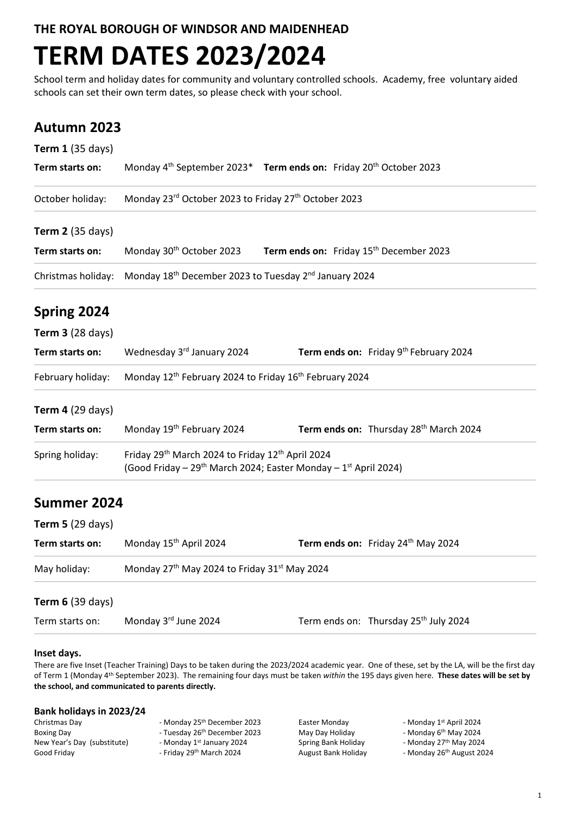**THE ROYAL BOROUGH OF WINDSOR AND MAIDENHEAD**

# **TERM DATES 2023/2024**

School term and holiday dates for community and voluntary controlled schools. Academy, free voluntary aided schools can set their own term dates, so please check with your school.

## **Autumn 2023**

| <b>Term 1 (35 days)</b> |                                                                                                                                             |                                                     |                                                   |
|-------------------------|---------------------------------------------------------------------------------------------------------------------------------------------|-----------------------------------------------------|---------------------------------------------------|
| Term starts on:         | Monday 4 <sup>th</sup> September 2023 <sup>*</sup> Term ends on: Friday 20 <sup>th</sup> October 2023                                       |                                                     |                                                   |
| October holiday:        | Monday 23rd October 2023 to Friday 27th October 2023                                                                                        |                                                     |                                                   |
| <b>Term 2</b> (35 days) |                                                                                                                                             |                                                     |                                                   |
| Term starts on:         | Monday 30 <sup>th</sup> October 2023                                                                                                        | Term ends on: Friday 15 <sup>th</sup> December 2023 |                                                   |
| Christmas holiday:      | Monday 18 <sup>th</sup> December 2023 to Tuesday 2 <sup>nd</sup> January 2024                                                               |                                                     |                                                   |
| Spring 2024             |                                                                                                                                             |                                                     |                                                   |
| <b>Term 3 (28 days)</b> |                                                                                                                                             |                                                     |                                                   |
| Term starts on:         | Wednesday 3rd January 2024                                                                                                                  |                                                     | Term ends on: Friday 9th February 2024            |
| February holiday:       | Monday 12 <sup>th</sup> February 2024 to Friday 16 <sup>th</sup> February 2024                                                              |                                                     |                                                   |
| <b>Term 4 (29 days)</b> |                                                                                                                                             |                                                     |                                                   |
| Term starts on:         | Monday 19th February 2024                                                                                                                   |                                                     | Term ends on: Thursday 28th March 2024            |
| Spring holiday:         | Friday 29th March 2024 to Friday 12th April 2024<br>(Good Friday - 29 <sup>th</sup> March 2024; Easter Monday - 1 <sup>st</sup> April 2024) |                                                     |                                                   |
| Summer 2024             |                                                                                                                                             |                                                     |                                                   |
| <b>Term 5 (29 days)</b> |                                                                                                                                             |                                                     |                                                   |
| Term starts on:         | Monday 15 <sup>th</sup> April 2024                                                                                                          |                                                     | Term ends on: Friday 24 <sup>th</sup> May 2024    |
| May holiday:            | Monday 27th May 2024 to Friday 31st May 2024                                                                                                |                                                     |                                                   |
| <b>Term 6 (39 days)</b> |                                                                                                                                             |                                                     |                                                   |
| Term starts on:         | Monday 3rd June 2024                                                                                                                        |                                                     | Term ends on: Thursday 25 <sup>th</sup> July 2024 |

### **Inset days.**

There are five Inset (Teacher Training) Days to be taken during the 2023/2024 academic year. One of these, set by the LA, will be the first day of Term 1 (Monday 4th September 2023). The remaining four days must be taken *within* the 195 days given here. **These dates will be set by the school, and communicated to parents directly.**

#### **Bank holidays in 2023/24**

| Christmas Dav               | - Monday 25th December 2023              | Easter Monday       | - Monday 1 |
|-----------------------------|------------------------------------------|---------------------|------------|
| Boxing Dav                  | - Tuesday 26 <sup>th</sup> December 2023 | May Day Holiday     | - Monday 6 |
| New Year's Day (substitute) | - Monday 1st January 2024                | Spring Bank Holiday | - Monday 2 |
| Good Friday                 | - Friday 29th March 2024                 | August Bank Holiday | - Monday 2 |

Ionday 25<sup>th</sup> December 2023 Ionday 1<sup>st</sup> January 2024

riday 29<sup>th</sup> March 2024 **August Bank Holiday** 

Easter Monday **Easter Monday 1st April 2024** 

- Monday 6<sup>th</sup> May 2024

- Monday 27<sup>th</sup> May 2024

- Monday 26<sup>th</sup> August 2024